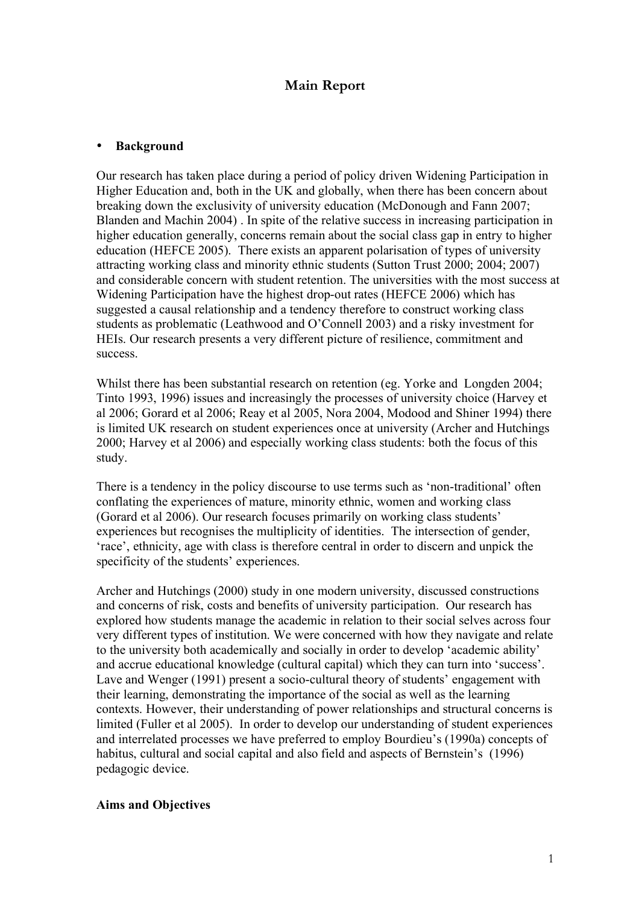# **Main Report**

#### • **Background**

Our research has taken place during a period of policy driven Widening Participation in Higher Education and, both in the UK and globally, when there has been concern about breaking down the exclusivity of university education (McDonough and Fann 2007; Blanden and Machin 2004) . In spite of the relative success in increasing participation in higher education generally, concerns remain about the social class gap in entry to higher education (HEFCE 2005). There exists an apparent polarisation of types of university attracting working class and minority ethnic students (Sutton Trust 2000; 2004; 2007) and considerable concern with student retention. The universities with the most success at Widening Participation have the highest drop-out rates (HEFCE 2006) which has suggested a causal relationship and a tendency therefore to construct working class students as problematic (Leathwood and O'Connell 2003) and a risky investment for HEIs. Our research presents a very different picture of resilience, commitment and success.

Whilst there has been substantial research on retention (eg. Yorke and Longden 2004; Tinto 1993, 1996) issues and increasingly the processes of university choice (Harvey et al 2006; Gorard et al 2006; Reay et al 2005, Nora 2004, Modood and Shiner 1994) there is limited UK research on student experiences once at university (Archer and Hutchings 2000; Harvey et al 2006) and especially working class students: both the focus of this study.

There is a tendency in the policy discourse to use terms such as 'non-traditional' often conflating the experiences of mature, minority ethnic, women and working class (Gorard et al 2006). Our research focuses primarily on working class students' experiences but recognises the multiplicity of identities. The intersection of gender, 'race', ethnicity, age with class is therefore central in order to discern and unpick the specificity of the students' experiences.

Archer and Hutchings (2000) study in one modern university, discussed constructions and concerns of risk, costs and benefits of university participation. Our research has explored how students manage the academic in relation to their social selves across four very different types of institution. We were concerned with how they navigate and relate to the university both academically and socially in order to develop 'academic ability' and accrue educational knowledge (cultural capital) which they can turn into 'success'. Lave and Wenger (1991) present a socio-cultural theory of students' engagement with their learning, demonstrating the importance of the social as well as the learning contexts. However, their understanding of power relationships and structural concerns is limited (Fuller et al 2005). In order to develop our understanding of student experiences and interrelated processes we have preferred to employ Bourdieu's (1990a) concepts of habitus, cultural and social capital and also field and aspects of Bernstein's (1996) pedagogic device.

#### **Aims and Objectives**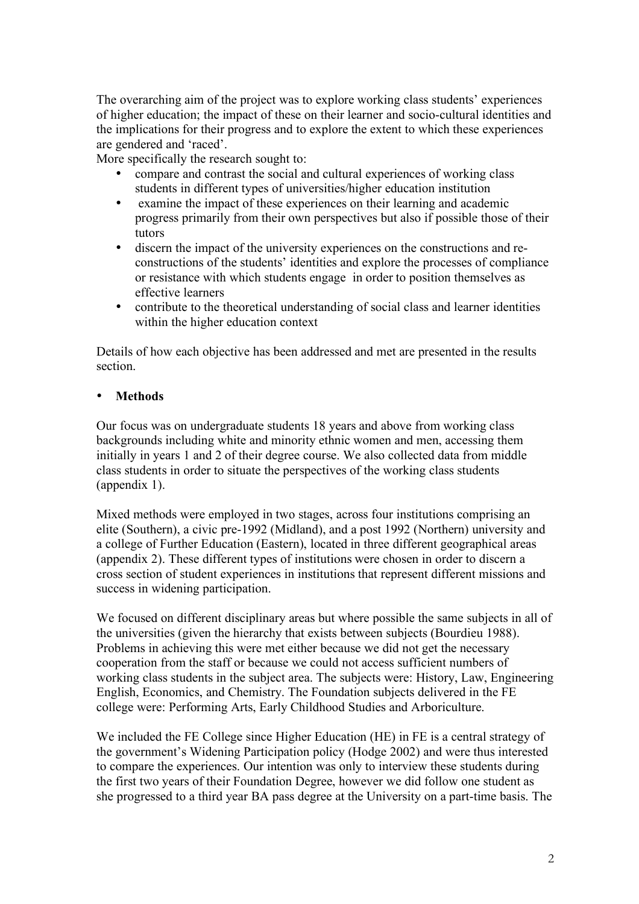The overarching aim of the project was to explore working class students' experiences of higher education; the impact of these on their learner and socio-cultural identities and the implications for their progress and to explore the extent to which these experiences are gendered and 'raced'.

More specifically the research sought to:

- compare and contrast the social and cultural experiences of working class students in different types of universities/higher education institution
- examine the impact of these experiences on their learning and academic progress primarily from their own perspectives but also if possible those of their tutors
- discern the impact of the university experiences on the constructions and reconstructions of the students' identities and explore the processes of compliance or resistance with which students engage in order to position themselves as effective learners
- contribute to the theoretical understanding of social class and learner identities within the higher education context

Details of how each objective has been addressed and met are presented in the results section.

# • **Methods**

Our focus was on undergraduate students 18 years and above from working class backgrounds including white and minority ethnic women and men, accessing them initially in years 1 and 2 of their degree course. We also collected data from middle class students in order to situate the perspectives of the working class students (appendix 1).

Mixed methods were employed in two stages, across four institutions comprising an elite (Southern), a civic pre-1992 (Midland), and a post 1992 (Northern) university and a college of Further Education (Eastern), located in three different geographical areas (appendix 2). These different types of institutions were chosen in order to discern a cross section of student experiences in institutions that represent different missions and success in widening participation.

We focused on different disciplinary areas but where possible the same subjects in all of the universities (given the hierarchy that exists between subjects (Bourdieu 1988). Problems in achieving this were met either because we did not get the necessary cooperation from the staff or because we could not access sufficient numbers of working class students in the subject area. The subjects were: History, Law, Engineering English, Economics, and Chemistry. The Foundation subjects delivered in the FE college were: Performing Arts, Early Childhood Studies and Arboriculture.

We included the FE College since Higher Education (HE) in FE is a central strategy of the government's Widening Participation policy (Hodge 2002) and were thus interested to compare the experiences. Our intention was only to interview these students during the first two years of their Foundation Degree, however we did follow one student as she progressed to a third year BA pass degree at the University on a part-time basis. The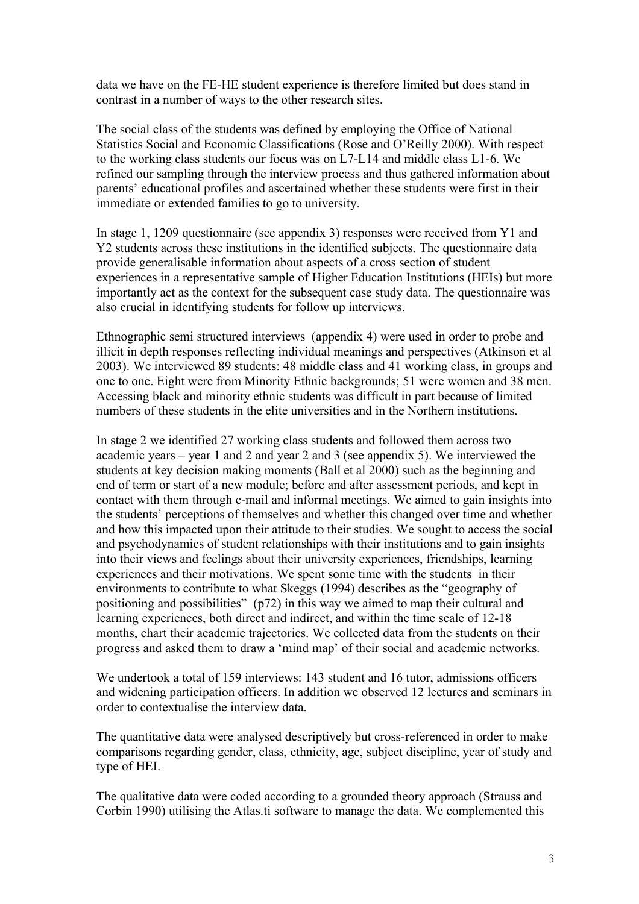data we have on the FE-HE student experience is therefore limited but does stand in contrast in a number of ways to the other research sites.

The social class of the students was defined by employing the Office of National Statistics Social and Economic Classifications (Rose and O'Reilly 2000). With respect to the working class students our focus was on L7-L14 and middle class L1-6. We refined our sampling through the interview process and thus gathered information about parents' educational profiles and ascertained whether these students were first in their immediate or extended families to go to university.

In stage 1, 1209 questionnaire (see appendix 3) responses were received from Y1 and Y2 students across these institutions in the identified subjects. The questionnaire data provide generalisable information about aspects of a cross section of student experiences in a representative sample of Higher Education Institutions (HEIs) but more importantly act as the context for the subsequent case study data. The questionnaire was also crucial in identifying students for follow up interviews.

Ethnographic semi structured interviews (appendix 4) were used in order to probe and illicit in depth responses reflecting individual meanings and perspectives (Atkinson et al 2003). We interviewed 89 students: 48 middle class and 41 working class, in groups and one to one. Eight were from Minority Ethnic backgrounds; 51 were women and 38 men. Accessing black and minority ethnic students was difficult in part because of limited numbers of these students in the elite universities and in the Northern institutions.

In stage 2 we identified 27 working class students and followed them across two academic years – year 1 and 2 and year 2 and 3 (see appendix 5). We interviewed the students at key decision making moments (Ball et al 2000) such as the beginning and end of term or start of a new module; before and after assessment periods, and kept in contact with them through e-mail and informal meetings. We aimed to gain insights into the students' perceptions of themselves and whether this changed over time and whether and how this impacted upon their attitude to their studies. We sought to access the social and psychodynamics of student relationships with their institutions and to gain insights into their views and feelings about their university experiences, friendships, learning experiences and their motivations. We spent some time with the students in their environments to contribute to what Skeggs (1994) describes as the "geography of positioning and possibilities" (p72) in this way we aimed to map their cultural and learning experiences, both direct and indirect, and within the time scale of 12-18 months, chart their academic trajectories. We collected data from the students on their progress and asked them to draw a 'mind map' of their social and academic networks.

We undertook a total of 159 interviews: 143 student and 16 tutor, admissions officers and widening participation officers. In addition we observed 12 lectures and seminars in order to contextualise the interview data.

The quantitative data were analysed descriptively but cross-referenced in order to make comparisons regarding gender, class, ethnicity, age, subject discipline, year of study and type of HEI.

The qualitative data were coded according to a grounded theory approach (Strauss and Corbin 1990) utilising the Atlas.ti software to manage the data. We complemented this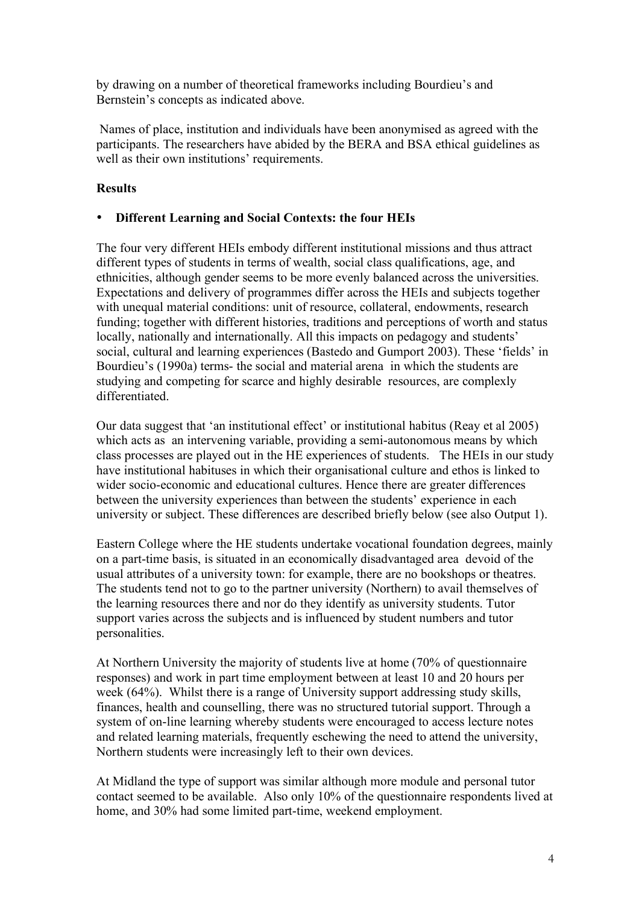by drawing on a number of theoretical frameworks including Bourdieu's and Bernstein's concepts as indicated above.

Names of place, institution and individuals have been anonymised as agreed with the participants. The researchers have abided by the BERA and BSA ethical guidelines as well as their own institutions' requirements.

# **Results**

# • **Different Learning and Social Contexts: the four HEIs**

The four very different HEIs embody different institutional missions and thus attract different types of students in terms of wealth, social class qualifications, age, and ethnicities, although gender seems to be more evenly balanced across the universities. Expectations and delivery of programmes differ across the HEIs and subjects together with unequal material conditions: unit of resource, collateral, endowments, research funding; together with different histories, traditions and perceptions of worth and status locally, nationally and internationally. All this impacts on pedagogy and students' social, cultural and learning experiences (Bastedo and Gumport 2003). These 'fields' in Bourdieu's (1990a) terms- the social and material arena in which the students are studying and competing for scarce and highly desirable resources, are complexly differentiated.

Our data suggest that 'an institutional effect' or institutional habitus (Reay et al 2005) which acts as an intervening variable, providing a semi-autonomous means by which class processes are played out in the HE experiences of students. The HEIs in our study have institutional habituses in which their organisational culture and ethos is linked to wider socio-economic and educational cultures. Hence there are greater differences between the university experiences than between the students' experience in each university or subject. These differences are described briefly below (see also Output 1).

Eastern College where the HE students undertake vocational foundation degrees, mainly on a part-time basis, is situated in an economically disadvantaged area devoid of the usual attributes of a university town: for example, there are no bookshops or theatres. The students tend not to go to the partner university (Northern) to avail themselves of the learning resources there and nor do they identify as university students. Tutor support varies across the subjects and is influenced by student numbers and tutor personalities.

At Northern University the majority of students live at home (70% of questionnaire responses) and work in part time employment between at least 10 and 20 hours per week (64%). Whilst there is a range of University support addressing study skills, finances, health and counselling, there was no structured tutorial support. Through a system of on-line learning whereby students were encouraged to access lecture notes and related learning materials, frequently eschewing the need to attend the university, Northern students were increasingly left to their own devices.

At Midland the type of support was similar although more module and personal tutor contact seemed to be available. Also only 10% of the questionnaire respondents lived at home, and 30% had some limited part-time, weekend employment.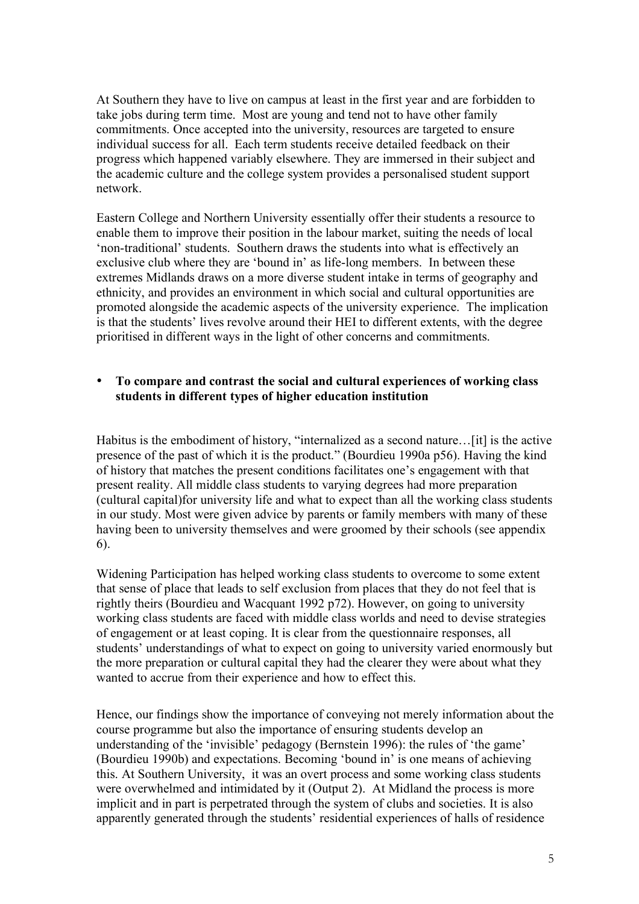At Southern they have to live on campus at least in the first year and are forbidden to take jobs during term time. Most are young and tend not to have other family commitments. Once accepted into the university, resources are targeted to ensure individual success for all. Each term students receive detailed feedback on their progress which happened variably elsewhere. They are immersed in their subject and the academic culture and the college system provides a personalised student support network.

Eastern College and Northern University essentially offer their students a resource to enable them to improve their position in the labour market, suiting the needs of local 'non-traditional' students. Southern draws the students into what is effectively an exclusive club where they are 'bound in' as life-long members. In between these extremes Midlands draws on a more diverse student intake in terms of geography and ethnicity, and provides an environment in which social and cultural opportunities are promoted alongside the academic aspects of the university experience. The implication is that the students' lives revolve around their HEI to different extents, with the degree prioritised in different ways in the light of other concerns and commitments.

#### • **To compare and contrast the social and cultural experiences of working class students in different types of higher education institution**

Habitus is the embodiment of history, "internalized as a second nature…[it] is the active presence of the past of which it is the product." (Bourdieu 1990a p56). Having the kind of history that matches the present conditions facilitates one's engagement with that present reality. All middle class students to varying degrees had more preparation (cultural capital)for university life and what to expect than all the working class students in our study. Most were given advice by parents or family members with many of these having been to university themselves and were groomed by their schools (see appendix 6).

Widening Participation has helped working class students to overcome to some extent that sense of place that leads to self exclusion from places that they do not feel that is rightly theirs (Bourdieu and Wacquant 1992 p72). However, on going to university working class students are faced with middle class worlds and need to devise strategies of engagement or at least coping. It is clear from the questionnaire responses, all students' understandings of what to expect on going to university varied enormously but the more preparation or cultural capital they had the clearer they were about what they wanted to accrue from their experience and how to effect this.

Hence, our findings show the importance of conveying not merely information about the course programme but also the importance of ensuring students develop an understanding of the 'invisible' pedagogy (Bernstein 1996): the rules of 'the game' (Bourdieu 1990b) and expectations. Becoming 'bound in' is one means of achieving this. At Southern University, it was an overt process and some working class students were overwhelmed and intimidated by it (Output 2). At Midland the process is more implicit and in part is perpetrated through the system of clubs and societies. It is also apparently generated through the students' residential experiences of halls of residence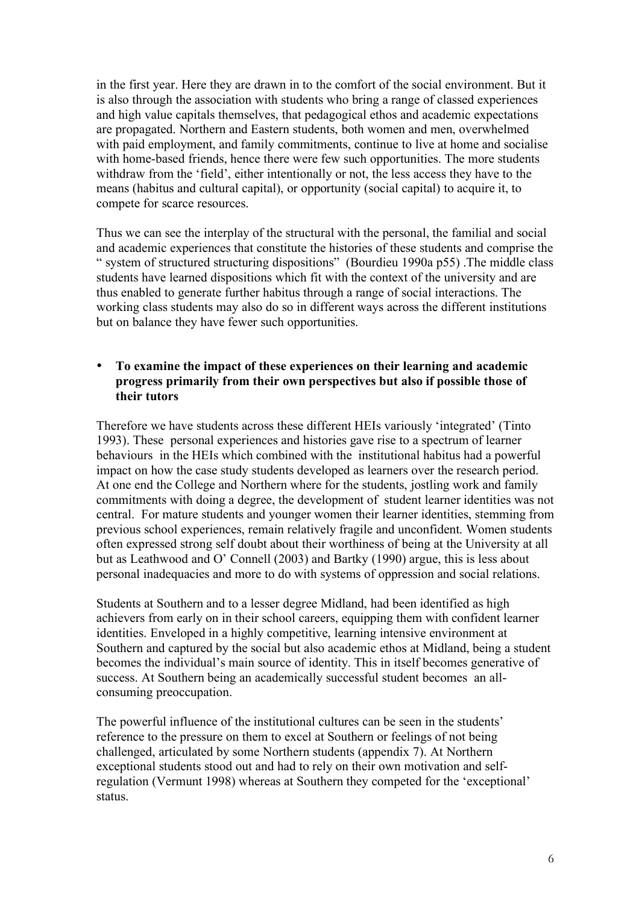in the first year. Here they are drawn in to the comfort of the social environment. But it is also through the association with students who bring a range of classed experiences and high value capitals themselves, that pedagogical ethos and academic expectations are propagated. Northern and Eastern students, both women and men, overwhelmed with paid employment, and family commitments, continue to live at home and socialise with home-based friends, hence there were few such opportunities. The more students withdraw from the 'field', either intentionally or not, the less access they have to the means (habitus and cultural capital), or opportunity (social capital) to acquire it, to compete for scarce resources.

Thus we can see the interplay of the structural with the personal, the familial and social and academic experiences that constitute the histories of these students and comprise the " system of structured structuring dispositions" (Bourdieu 1990a p55) .The middle class students have learned dispositions which fit with the context of the university and are thus enabled to generate further habitus through a range of social interactions. The working class students may also do so in different ways across the different institutions but on balance they have fewer such opportunities.

#### • **To examine the impact of these experiences on their learning and academic progress primarily from their own perspectives but also if possible those of their tutors**

Therefore we have students across these different HEIs variously 'integrated' (Tinto 1993). These personal experiences and histories gave rise to a spectrum of learner behaviours in the HEIs which combined with the institutional habitus had a powerful impact on how the case study students developed as learners over the research period. At one end the College and Northern where for the students, jostling work and family commitments with doing a degree, the development of student learner identities was not central. For mature students and younger women their learner identities, stemming from previous school experiences, remain relatively fragile and unconfident. Women students often expressed strong self doubt about their worthiness of being at the University at all but as Leathwood and O' Connell (2003) and Bartky (1990) argue, this is less about personal inadequacies and more to do with systems of oppression and social relations.

Students at Southern and to a lesser degree Midland, had been identified as high achievers from early on in their school careers, equipping them with confident learner identities. Enveloped in a highly competitive, learning intensive environment at Southern and captured by the social but also academic ethos at Midland, being a student becomes the individual's main source of identity. This in itself becomes generative of success. At Southern being an academically successful student becomes an allconsuming preoccupation.

The powerful influence of the institutional cultures can be seen in the students' reference to the pressure on them to excel at Southern or feelings of not being challenged, articulated by some Northern students (appendix 7). At Northern exceptional students stood out and had to rely on their own motivation and selfregulation (Vermunt 1998) whereas at Southern they competed for the 'exceptional' status.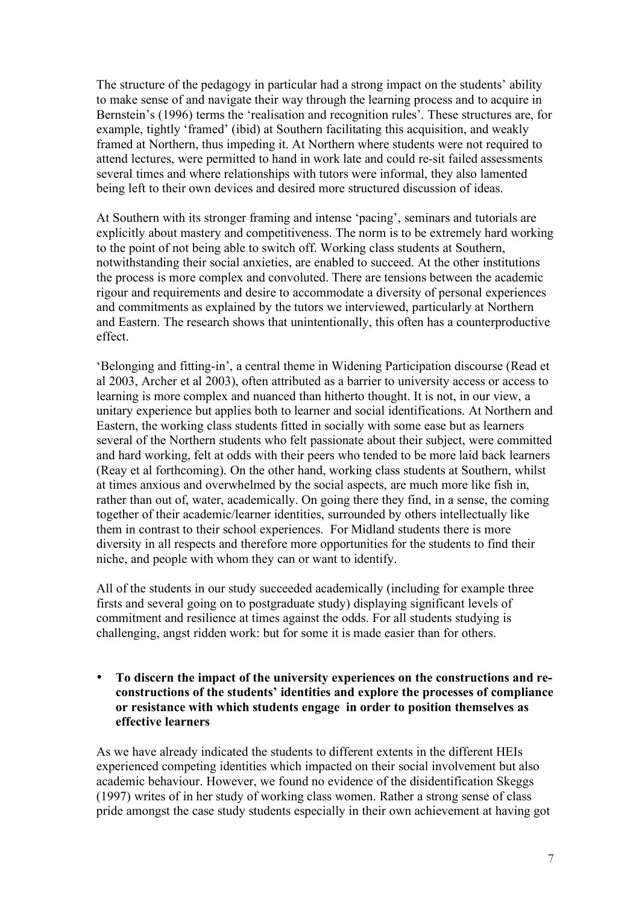The structure of the pedagogy in particular had a strong impact on the students' ability to make sense of and navigate their way through the learning process and to acquire in Bernstein's (1996) terms the 'realisation and recognition rules'. These structures are, for example, tightly 'framed' (ibid) at Southern facilitating this acquisition, and weakly framed at Northern, thus impeding it. At Northern where students were not required to attend lectures, were permitted to hand in work late and could re-sit failed assessments several times and where relationships with tutors were informal, they also lamented being left to their own devices and desired more structured discussion of ideas.

At Southern with its stronger framing and intense 'pacing', seminars and tutorials are explicitly about mastery and competitiveness. The norm is to be extremely hard working to the point of not being able to switch off. Working class students at Southern, notwithstanding their social anxieties, are enabled to succeed. At the other institutions the process is more complex and convoluted. There are tensions between the academic rigour and requirements and desire to accommodate a diversity of personal experiences and commitments as explained by the tutors we interviewed, particularly at Northern and Eastern. The research shows that unintentionally, this often has a counterproductive effect.

'Belonging and fitting-in', a central theme in Widening Participation discourse (Read et al 2003, Archer et al 2003), often attributed as a barrier to university access or access to learning is more complex and nuanced than hitherto thought. It is not, in our view, a unitary experience but applies both to learner and social identifications. At Northern and Eastern, the working class students fitted in socially with some ease but as learners several of the Northern students who felt passionate about their subject, were committed and hard working, felt at odds with their peers who tended to be more laid back learners (Reay et al forthcoming). On the other hand, working class students at Southern, whilst at times anxious and overwhelmed by the social aspects, are much more like fish in, rather than out of, water, academically. On going there they find, in a sense, the coming together of their academic/learner identities, surrounded by others intellectually like them in contrast to their school experiences. For Midland students there is more diversity in all respects and therefore more opportunities for the students to find their niche, and people with whom they can or want to identify.

All of the students in our study succeeded academically (including for example three firsts and several going on to postgraduate study) displaying significant levels of commitment and resilience at times against the odds. For all students studying is challenging, angst ridden work: but for some it is made easier than for others.

• **To discern the impact of the university experiences on the constructions and reconstructions of the students' identities and explore the processes of compliance or resistance with which students engage in order to position themselves as effective learners**

As we have already indicated the students to different extents in the different HEIs experienced competing identities which impacted on their social involvement but also academic behaviour. However, we found no evidence of the disidentification Skeggs (1997) writes of in her study of working class women. Rather a strong sense of class pride amongst the case study students especially in their own achievement at having got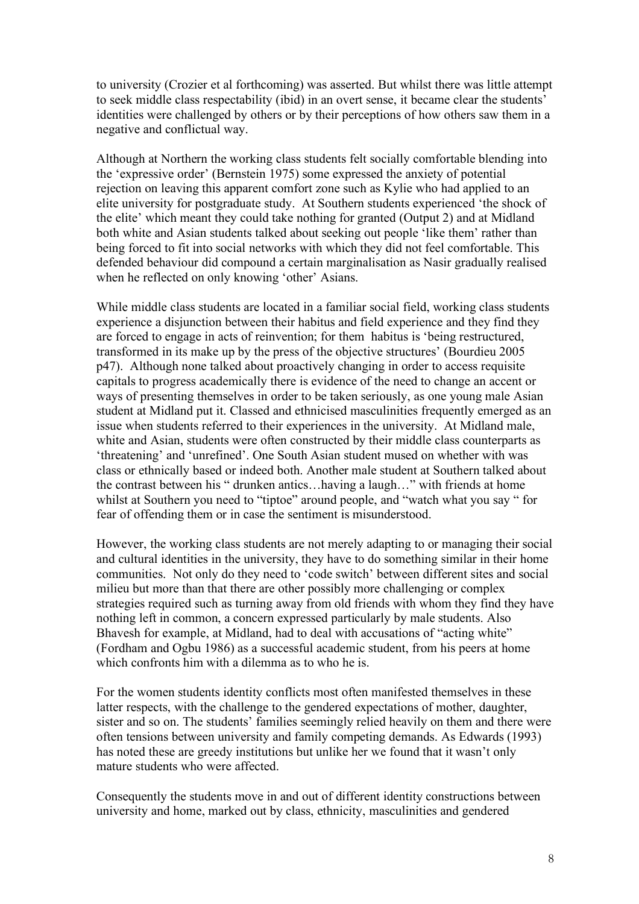to university (Crozier et al forthcoming) was asserted. But whilst there was little attempt to seek middle class respectability (ibid) in an overt sense, it became clear the students' identities were challenged by others or by their perceptions of how others saw them in a negative and conflictual way.

Although at Northern the working class students felt socially comfortable blending into the 'expressive order' (Bernstein 1975) some expressed the anxiety of potential rejection on leaving this apparent comfort zone such as Kylie who had applied to an elite university for postgraduate study. At Southern students experienced 'the shock of the elite' which meant they could take nothing for granted (Output 2) and at Midland both white and Asian students talked about seeking out people 'like them' rather than being forced to fit into social networks with which they did not feel comfortable. This defended behaviour did compound a certain marginalisation as Nasir gradually realised when he reflected on only knowing 'other' Asians.

While middle class students are located in a familiar social field, working class students experience a disjunction between their habitus and field experience and they find they are forced to engage in acts of reinvention; for them habitus is 'being restructured, transformed in its make up by the press of the objective structures' (Bourdieu 2005 p47). Although none talked about proactively changing in order to access requisite capitals to progress academically there is evidence of the need to change an accent or ways of presenting themselves in order to be taken seriously, as one young male Asian student at Midland put it. Classed and ethnicised masculinities frequently emerged as an issue when students referred to their experiences in the university. At Midland male, white and Asian, students were often constructed by their middle class counterparts as 'threatening' and 'unrefined'. One South Asian student mused on whether with was class or ethnically based or indeed both. Another male student at Southern talked about the contrast between his " drunken antics…having a laugh…" with friends at home whilst at Southern you need to "tiptoe" around people, and "watch what you say " for fear of offending them or in case the sentiment is misunderstood.

However, the working class students are not merely adapting to or managing their social and cultural identities in the university, they have to do something similar in their home communities. Not only do they need to 'code switch' between different sites and social milieu but more than that there are other possibly more challenging or complex strategies required such as turning away from old friends with whom they find they have nothing left in common, a concern expressed particularly by male students. Also Bhavesh for example, at Midland, had to deal with accusations of "acting white" (Fordham and Ogbu 1986) as a successful academic student, from his peers at home which confronts him with a dilemma as to who he is.

For the women students identity conflicts most often manifested themselves in these latter respects, with the challenge to the gendered expectations of mother, daughter, sister and so on. The students' families seemingly relied heavily on them and there were often tensions between university and family competing demands. As Edwards (1993) has noted these are greedy institutions but unlike her we found that it wasn't only mature students who were affected.

Consequently the students move in and out of different identity constructions between university and home, marked out by class, ethnicity, masculinities and gendered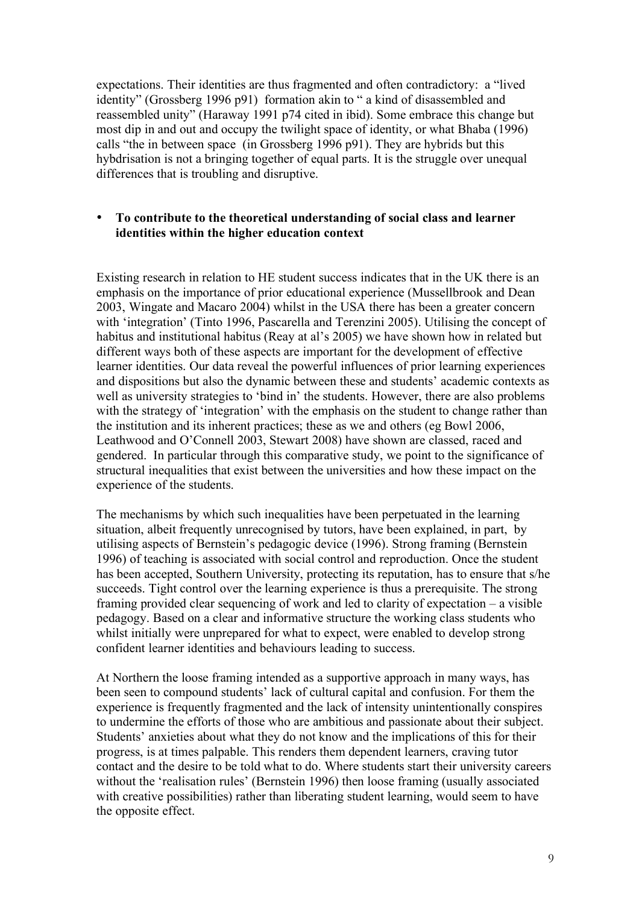expectations. Their identities are thus fragmented and often contradictory: a "lived identity" (Grossberg 1996 p91) formation akin to " a kind of disassembled and reassembled unity" (Haraway 1991 p74 cited in ibid). Some embrace this change but most dip in and out and occupy the twilight space of identity, or what Bhaba (1996) calls "the in between space (in Grossberg 1996 p91). They are hybrids but this hybdrisation is not a bringing together of equal parts. It is the struggle over unequal differences that is troubling and disruptive.

#### • **To contribute to the theoretical understanding of social class and learner identities within the higher education context**

Existing research in relation to HE student success indicates that in the UK there is an emphasis on the importance of prior educational experience (Mussellbrook and Dean 2003, Wingate and Macaro 2004) whilst in the USA there has been a greater concern with 'integration' (Tinto 1996, Pascarella and Terenzini 2005). Utilising the concept of habitus and institutional habitus (Reay at al's 2005) we have shown how in related but different ways both of these aspects are important for the development of effective learner identities. Our data reveal the powerful influences of prior learning experiences and dispositions but also the dynamic between these and students' academic contexts as well as university strategies to 'bind in' the students. However, there are also problems with the strategy of 'integration' with the emphasis on the student to change rather than the institution and its inherent practices; these as we and others (eg Bowl 2006, Leathwood and O'Connell 2003, Stewart 2008) have shown are classed, raced and gendered. In particular through this comparative study, we point to the significance of structural inequalities that exist between the universities and how these impact on the experience of the students.

The mechanisms by which such inequalities have been perpetuated in the learning situation, albeit frequently unrecognised by tutors, have been explained, in part, by utilising aspects of Bernstein's pedagogic device (1996). Strong framing (Bernstein 1996) of teaching is associated with social control and reproduction. Once the student has been accepted, Southern University, protecting its reputation, has to ensure that s/he succeeds. Tight control over the learning experience is thus a prerequisite. The strong framing provided clear sequencing of work and led to clarity of expectation – a visible pedagogy. Based on a clear and informative structure the working class students who whilst initially were unprepared for what to expect, were enabled to develop strong confident learner identities and behaviours leading to success.

At Northern the loose framing intended as a supportive approach in many ways, has been seen to compound students' lack of cultural capital and confusion. For them the experience is frequently fragmented and the lack of intensity unintentionally conspires to undermine the efforts of those who are ambitious and passionate about their subject. Students' anxieties about what they do not know and the implications of this for their progress, is at times palpable. This renders them dependent learners, craving tutor contact and the desire to be told what to do. Where students start their university careers without the 'realisation rules' (Bernstein 1996) then loose framing (usually associated with creative possibilities) rather than liberating student learning, would seem to have the opposite effect.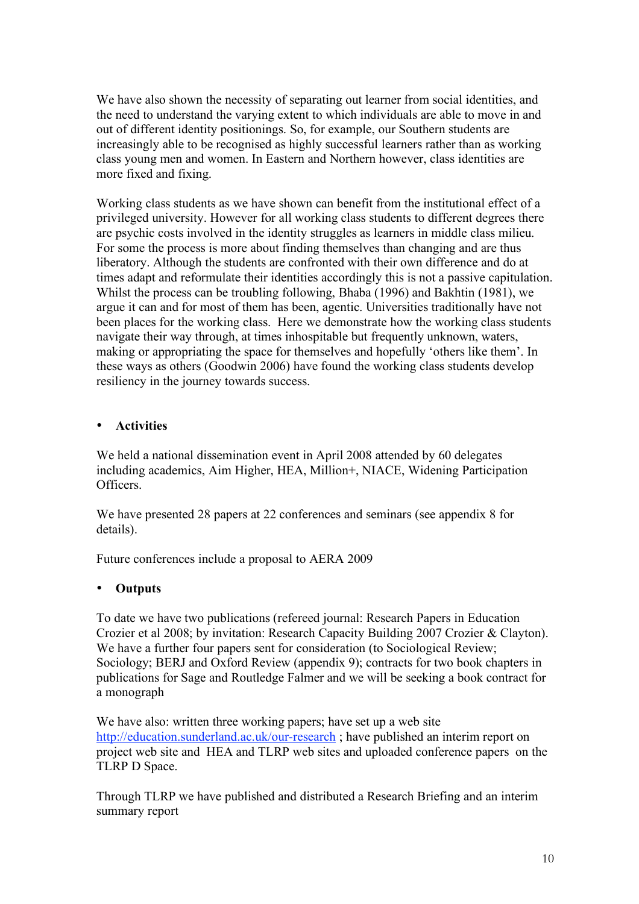We have also shown the necessity of separating out learner from social identities, and the need to understand the varying extent to which individuals are able to move in and out of different identity positionings. So, for example, our Southern students are increasingly able to be recognised as highly successful learners rather than as working class young men and women. In Eastern and Northern however, class identities are more fixed and fixing.

Working class students as we have shown can benefit from the institutional effect of a privileged university. However for all working class students to different degrees there are psychic costs involved in the identity struggles as learners in middle class milieu. For some the process is more about finding themselves than changing and are thus liberatory. Although the students are confronted with their own difference and do at times adapt and reformulate their identities accordingly this is not a passive capitulation. Whilst the process can be troubling following, Bhaba (1996) and Bakhtin (1981), we argue it can and for most of them has been, agentic. Universities traditionally have not been places for the working class. Here we demonstrate how the working class students navigate their way through, at times inhospitable but frequently unknown, waters, making or appropriating the space for themselves and hopefully 'others like them'. In these ways as others (Goodwin 2006) have found the working class students develop resiliency in the journey towards success.

# • **Activities**

We held a national dissemination event in April 2008 attended by 60 delegates including academics, Aim Higher, HEA, Million+, NIACE, Widening Participation Officers.

We have presented 28 papers at 22 conferences and seminars (see appendix 8 for details).

Future conferences include a proposal to AERA 2009

# • **Outputs**

To date we have two publications (refereed journal: Research Papers in Education Crozier et al 2008; by invitation: Research Capacity Building 2007 Crozier & Clayton). We have a further four papers sent for consideration (to Sociological Review; Sociology; BERJ and Oxford Review (appendix 9); contracts for two book chapters in publications for Sage and Routledge Falmer and we will be seeking a book contract for a monograph

We have also: written three working papers; have set up a web site http://education.sunderland.ac.uk/our-research ; have published an interim report on project web site and HEA and TLRP web sites and uploaded conference papers on the TLRP D Space.

Through TLRP we have published and distributed a Research Briefing and an interim summary report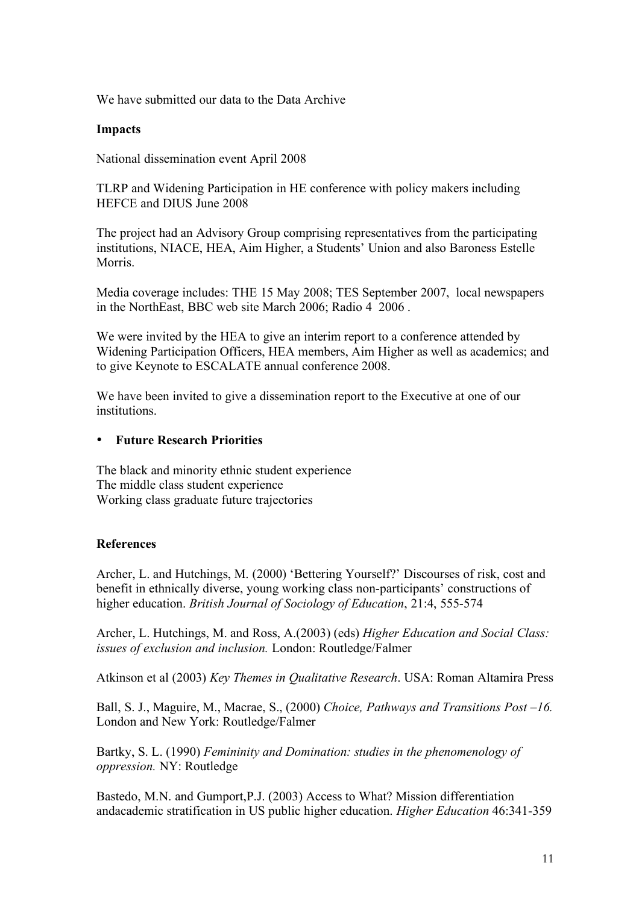We have submitted our data to the Data Archive

#### **Impacts**

National dissemination event April 2008

TLRP and Widening Participation in HE conference with policy makers including HEFCE and DIUS June 2008

The project had an Advisory Group comprising representatives from the participating institutions, NIACE, HEA, Aim Higher, a Students' Union and also Baroness Estelle Morris.

Media coverage includes: THE 15 May 2008; TES September 2007, local newspapers in the NorthEast, BBC web site March 2006; Radio 4 2006 .

We were invited by the HEA to give an interim report to a conference attended by Widening Participation Officers, HEA members, Aim Higher as well as academics; and to give Keynote to ESCALATE annual conference 2008.

We have been invited to give a dissemination report to the Executive at one of our institutions.

#### • **Future Research Priorities**

The black and minority ethnic student experience The middle class student experience Working class graduate future trajectories

# **References**

Archer, L. and Hutchings, M. (2000) 'Bettering Yourself?' Discourses of risk, cost and benefit in ethnically diverse, young working class non-participants' constructions of higher education. *British Journal of Sociology of Education*, 21:4, 555-574

Archer, L. Hutchings, M. and Ross, A.(2003) (eds) *Higher Education and Social Class: issues of exclusion and inclusion.* London: Routledge/Falmer

Atkinson et al (2003) *Key Themes in Qualitative Research*. USA: Roman Altamira Press

Ball, S. J., Maguire, M., Macrae, S., (2000) *Choice, Pathways and Transitions Post –16.* London and New York: Routledge/Falmer

Bartky, S. L. (1990) *Femininity and Domination: studies in the phenomenology of oppression.* NY: Routledge

Bastedo, M.N. and Gumport,P.J. (2003) Access to What? Mission differentiation andacademic stratification in US public higher education. *Higher Education* 46:341-359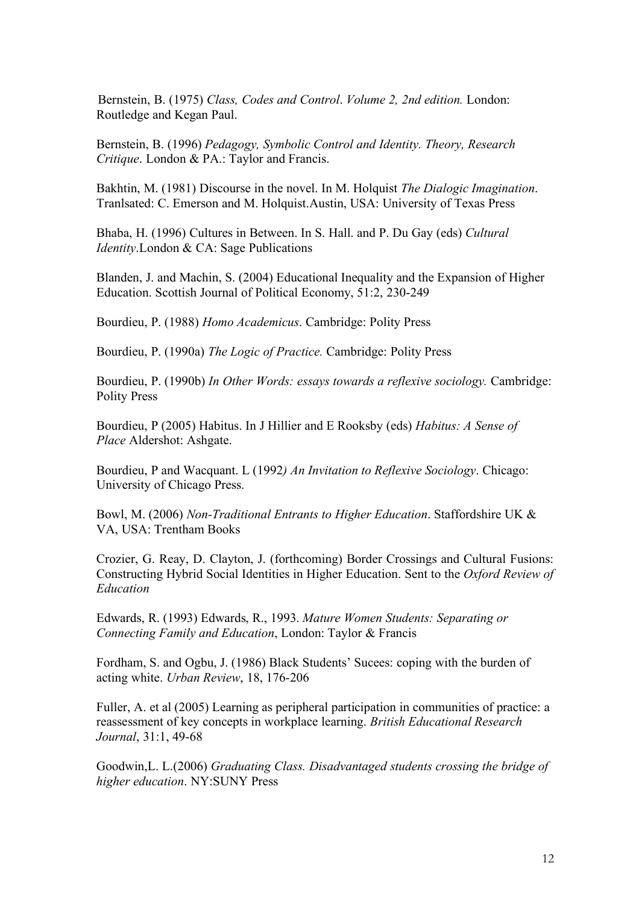Bernstein, B. (1975) *Class, Codes and Control*. *Volume 2, 2nd edition.* London: Routledge and Kegan Paul.

Bernstein, B. (1996) *Pedagogy, Symbolic Control and Identity. Theory, Research Critique*. London & PA.: Taylor and Francis.

Bakhtin, M. (1981) Discourse in the novel. In M. Holquist *The Dialogic Imagination*. Tranlsated: C. Emerson and M. Holquist.Austin, USA: University of Texas Press

Bhaba, H. (1996) Cultures in Between. In S. Hall. and P. Du Gay (eds) *Cultural Identity*.London & CA: Sage Publications

Blanden, J. and Machin, S. (2004) Educational Inequality and the Expansion of Higher Education. Scottish Journal of Political Economy, 51:2, 230-249

Bourdieu, P. (1988) *Homo Academicus*. Cambridge: Polity Press

Bourdieu, P. (1990a) *The Logic of Practice.* Cambridge: Polity Press

Bourdieu, P. (1990b) *In Other Words: essays towards a reflexive sociology.* Cambridge: Polity Press

Bourdieu, P (2005) Habitus. In J Hillier and E Rooksby (eds) *Habitus: A Sense of Place* Aldershot: Ashgate.

Bourdieu, P and Wacquant. L (1992*) An Invitation to Reflexive Sociology*. Chicago: University of Chicago Press.

Bowl, M. (2006) *Non-Traditional Entrants to Higher Education*. Staffordshire UK & VA, USA: Trentham Books

Crozier, G. Reay, D. Clayton, J. (forthcoming) Border Crossings and Cultural Fusions: Constructing Hybrid Social Identities in Higher Education. Sent to the *Oxford Review of Education*

Edwards, R. (1993) Edwards, R., 1993. *Mature Women Students: Separating or Connecting Family and Education*, London: Taylor & Francis

Fordham, S. and Ogbu, J. (1986) Black Students' Sucees: coping with the burden of acting white. *Urban Review*, 18, 176-206

Fuller, A. et al (2005) Learning as peripheral participation in communities of practice: a reassessment of key concepts in workplace learning. *British Educational Research Journal*, 31:1, 49-68

Goodwin,L. L.(2006) *Graduating Class. Disadvantaged students crossing the bridge of higher education*. NY:SUNY Press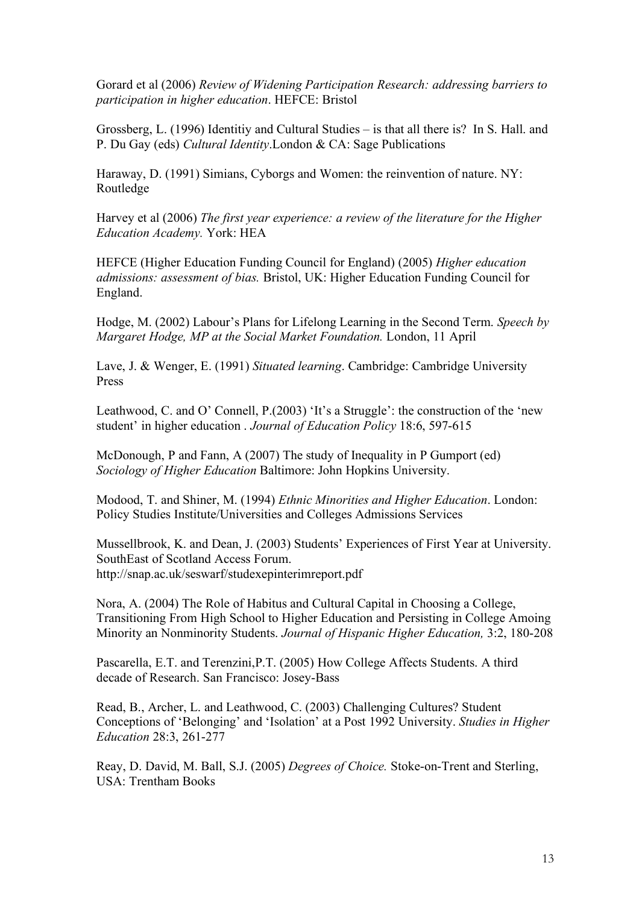Gorard et al (2006) *Review of Widening Participation Research: addressing barriers to participation in higher education*. HEFCE: Bristol

Grossberg, L. (1996) Identitiy and Cultural Studies – is that all there is? In S. Hall. and P. Du Gay (eds) *Cultural Identity*.London & CA: Sage Publications

Haraway, D. (1991) Simians, Cyborgs and Women: the reinvention of nature. NY: Routledge

Harvey et al (2006) *The first year experience: a review of the literature for the Higher Education Academy.* York: HEA

HEFCE (Higher Education Funding Council for England) (2005) *Higher education admissions: assessment of bias.* Bristol, UK: Higher Education Funding Council for England.

Hodge, M. (2002) Labour's Plans for Lifelong Learning in the Second Term. *Speech by Margaret Hodge, MP at the Social Market Foundation.* London, 11 April

Lave, J. & Wenger, E. (1991) *Situated learning*. Cambridge: Cambridge University Press

Leathwood, C. and O' Connell, P.(2003) 'It's a Struggle': the construction of the 'new student' in higher education . *Journal of Education Policy* 18:6, 597-615

McDonough, P and Fann, A (2007) The study of Inequality in P Gumport (ed) *Sociology of Higher Education* Baltimore: John Hopkins University.

Modood, T. and Shiner, M. (1994) *Ethnic Minorities and Higher Education*. London: Policy Studies Institute/Universities and Colleges Admissions Services

Mussellbrook, K. and Dean, J. (2003) Students' Experiences of First Year at University. SouthEast of Scotland Access Forum. http://snap.ac.uk/seswarf/studexepinterimreport.pdf

Nora, A. (2004) The Role of Habitus and Cultural Capital in Choosing a College, Transitioning From High School to Higher Education and Persisting in College Amoing Minority an Nonminority Students. *Journal of Hispanic Higher Education,* 3:2, 180-208

Pascarella, E.T. and Terenzini,P.T. (2005) How College Affects Students. A third decade of Research. San Francisco: Josey-Bass

Read, B., Archer, L. and Leathwood, C. (2003) Challenging Cultures? Student Conceptions of 'Belonging' and 'Isolation' at a Post 1992 University. *Studies in Higher Education* 28:3, 261-277

Reay, D. David, M. Ball, S.J. (2005) *Degrees of Choice.* Stoke-on-Trent and Sterling, USA: Trentham Books